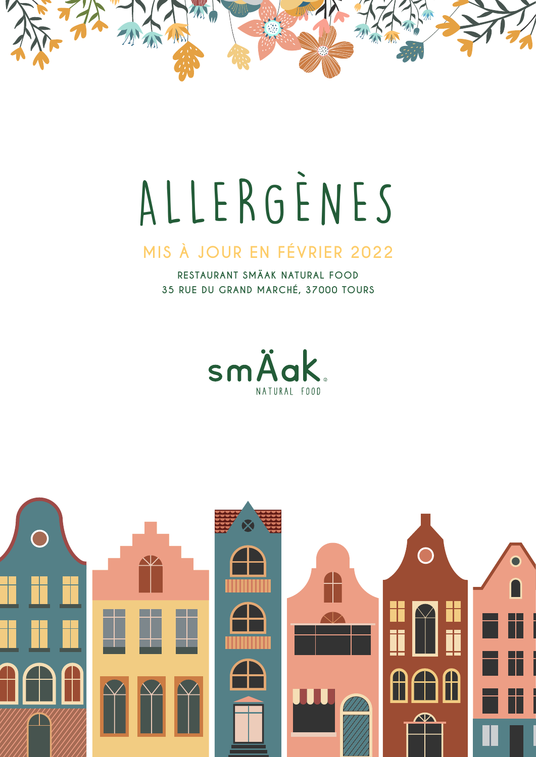

# ALLERGÈNES

#### MIS À JOUR EN FÉVRIER 2022

RESTAURANT SMÄAK NATURAL FOOD 35 RUE DU GRAND MARCHÉ, 37000 TOURS



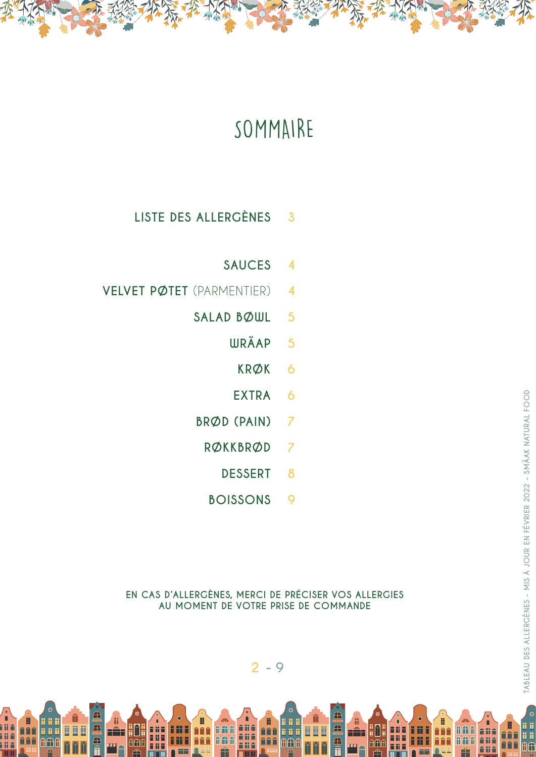

#### **LISTE DES ALLERGÈNES 3**

- **SAUCES 4**
- **VELVET PØTET** (PARMENTIER) **4**
	- **SALAD BØWL 5**
		- **WRÄAP 5**
			- **KRØK 6**
			- **EXTRA 6**
	- **BRØD (PAIN) 7**
		- **RØKKBRØD 7**
			- **DESSERT 8**
		- **BOISSONS 9**

**EN CAS D'ALLERGÈNES, MERCI DE PRÉCISER VOS ALLERGIES AU MOMENT DE VOTRE PRISE DE COMMANDE**

B

● ● ● n n

 $P^2$ 

nin

Ali A

li î

∰ Ш

A

AA

ii ii

AÆ



ii<br>Añ

<u>AAA</u>

î li<br>A li

li î

ê ji ê

üä

AAA

▦

ii î

ì li ê

m

řÊ

a a a

ii ii ii

**A** 

d<br>A<br>A

n a s

a a a

Föt

ii M H<sup>A</sup>T

AAA

000

i il

ĩĩ

**AAf** 

n

Ц

<u>ii ii ii</u>

Ħ

 $\overline{\phantom{a}}$ 

ir<br>Il

**AAf** 

E

ü

Ħ

 $\bar{\bm{\oplus}}$ 

in<br>A<br>fi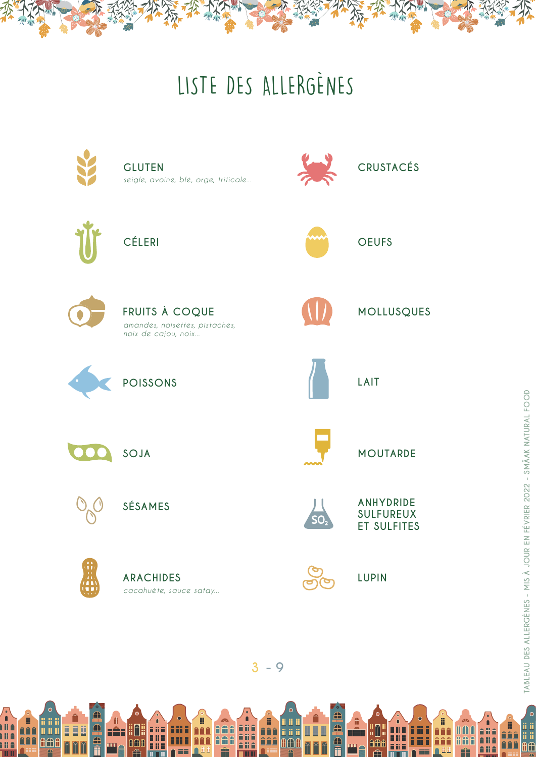## LISTE DES ALLERGÈNES



 $3 - 9$ 

 $\bullet$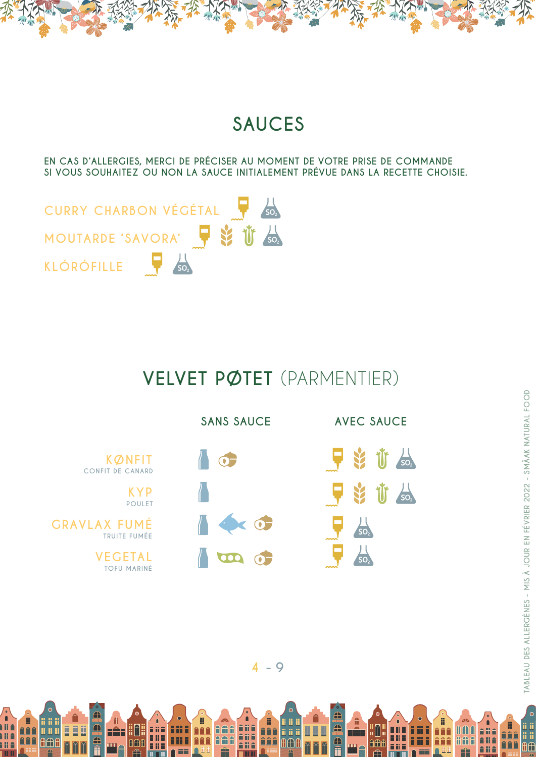

EN CAS D'ALLERGIES, MERCI DE PRÉCISER AU MOMENT DE VOTRE PRISE DE COMMANDE SI VOUS SOUHAITEZ OU NON LA SAUCE INITIALEMENT PRÉVUE DANS LA RECETTE CHOISIE.



B

<u>naa</u>

**AAA** 

ilî<br>Mî

ì li ê

**THE** 

ii ji

ii ii ii

**A**OA

Â

FÊT

HH.

000

m

**THE** 

j

ñññ

181

m

 $\bar{\bm{\oplus}}$ 

a<br>f

000

 $\overline{\mathbf{M}}$ M

#### VELVET PØTET (PARMENTIER)





 $\bullet$ 

í i

AC

B

普鲁鲁 l ii ii

êêê

I

AAA

Z<br>Alia

â li â

**Alie** 

**AAA** 

**AAA** 

Ĥ



H

<u>AAA</u>

**AAA** 

ana<br>Ana<br>Ana

mш

**AAA** 

**AAA** 

Ĥ

.<br>Ii ii i

n n

fl⊕

Ц

**BBB** 

 $\overline{\mathbf{M}}$  $\overline{\mathbf{z}}$  f

FÊF

m

Hin.

**AAf** 

**FRE** 

m

īΰ

i ii j

 $\overline{\bigoplus}$ 

a<br>A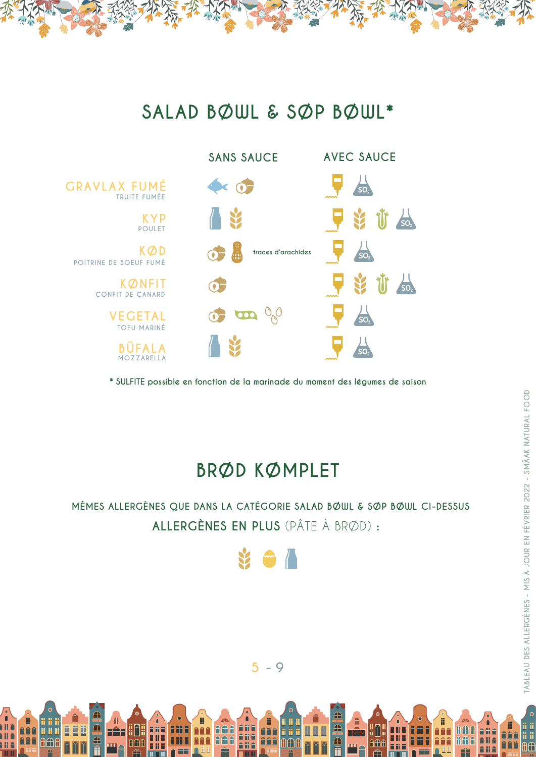#### **SALAD BØWL & SØP BØWL\***



**\* SULFITE possible en fonction de la marinade du moment des légumes de saison**

#### **BRØD KØMPLET**

#### **MÊMES ALLERGÈNES QUE DANS LA CATÉGORIE SALAD BØWL & SØP BØWL CI-DESSUS ALLERGÈNES EN PLUS** (PÂTE À BRØD) **:**

**TABLEAU DES ALLERGÈNES - MIS À JOUR EN FÉVRIER 2022 - SMÄAK NATURAL FOOD**

TABLEAU DES ALLERGÈNES - MIS À JOUR EN FÉVRIER 2022 - SMÄAK NATURAL FOOD

 $\epsilon$ 

lii ii

AÆ <u>AAA</u>

H

普鲁鲁 n n

**AAA** 

**AAA** 

**All A** 

Ali A

î li ê





H

ñññ

**AAA** 

in in in

AAF

alia<br>Alia

ê ji ê

**AAA** 

**AAA** 

Ш

u u u

Ħ

TË F

H

**AAf** 

**FILE** 

**File** 

١ü

m

 $\triangle$ 

a<br>A

H

 $\frac{a_1}{b_1}$ 

n<br>Ma

i ii ê

**THE** 

ii ii

**A** 

aña <mark>hili</mark>

 $\overline{\textbf{f}}$ 

Ę

青花青

a a a

<u>ana</u>

ii M

000

FÊT

Ħ

n i

<u>U U U</u>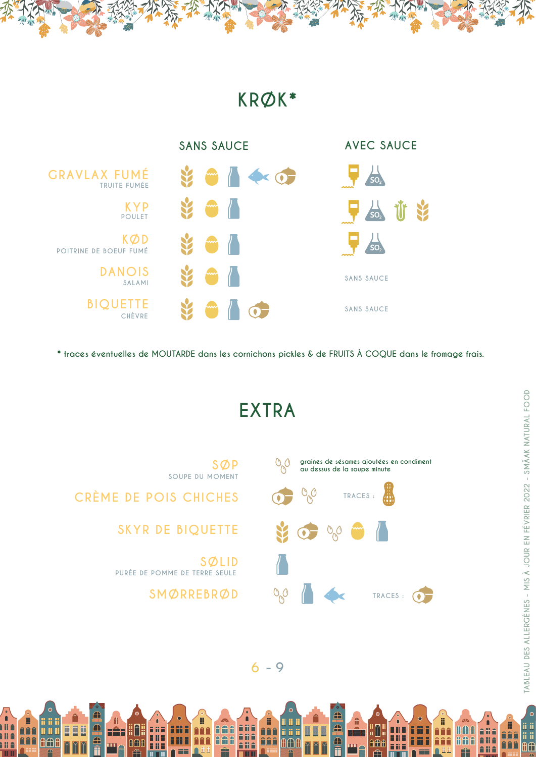#### **KRØK\***



**\* traces éventuelles de MOUTARDE dans les cornichons pickles & de FRUITS À COQUE dans le fromage frais.**

**EXTRA**



**SOUPE DU MOMENT**

**CRÈME DE POIS CHICHES** 

H

 $\frac{a_1}{b_1}$ 

ii û

Ħ

i il A

m

ii ii

**A** 

ti i <mark>î ĉ</mark>â

 $\overline{\textbf{f}}$ 

a<br>f

<u>U U U</u>

 $\mathbf{\Omega}$ M **SKYR DE BIQUETTE**

**SØLID PURÉE DE POMME DE TERRE SEULE**

Ħ

Е

n i

181

a a a

<u>ana</u>

HH.

000

FÊ F

**SMØRREBRØD**

 $\epsilon$ 

lii ii

AÆ <u>AAA</u>

H

普鲁鲁 l ii ii

<u>nan</u>

**AAA** 

**All A** 

î li î

î li ê



H

**A**<sup>C</sup>

**AAA** 

ê ji ê

**AAA** 

**AAA** 

i il

ii ii ii

₲₲₢

Ш

u u u

 $\overline{\mathbf{M}}$ 

fi

HË F

m

HH.

**nme** 

青花園

<u>Fii E</u>

iπ

m

A

 $\triangle$ 

a<br>A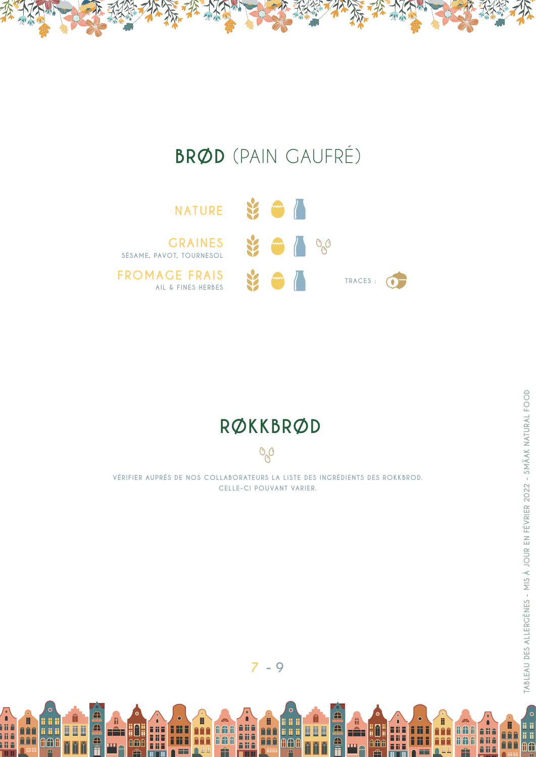### **BRØD** (PAIN GAUFRÉ)



#### RØKKBRØD

VÉRIFIER AUPRÈS DE NOS COLLABORATEURS LA LISTE DES INGRÉDIENTS DES ROKKBROD. CELLE-CI POUVANT VARIER.

 $O<sub>g</sub>$ 

 $7 - 9$ 

an<br>An

ana<br>Ana<br>Ana

**THE** 

**Andr** 

**AAA** 

Ĥ

in in in

**A** 

Â

TÊT

AAA

a a a

藟

Ħ

man.<br>Ngjarje

P

AAA

Ê

a<br>A<br>fi

<u>nän</u>

**In**  $\overline{R}$ M

a a a

nia<br>Ma<br>Ma

**THE** 

 $\overline{\mathbf{M}}$ 

M  $\overline{\mathbf{M}}$  fi

٢Ê٦

uu.

Hin.

 $\textcolor{red}{\textbf{0}}\textcolor{red}{\textbf{0}}\textcolor{red}{\textbf{0}}$ 

**FRE** 

m

e<br>A<br>fi

 $\bullet$ 

í ji

B

合合合

**AAA** 

I

**AAA** 

ĤĤ

H

 $=$ 

8

**AAA** 

**AAA** 

Ĥ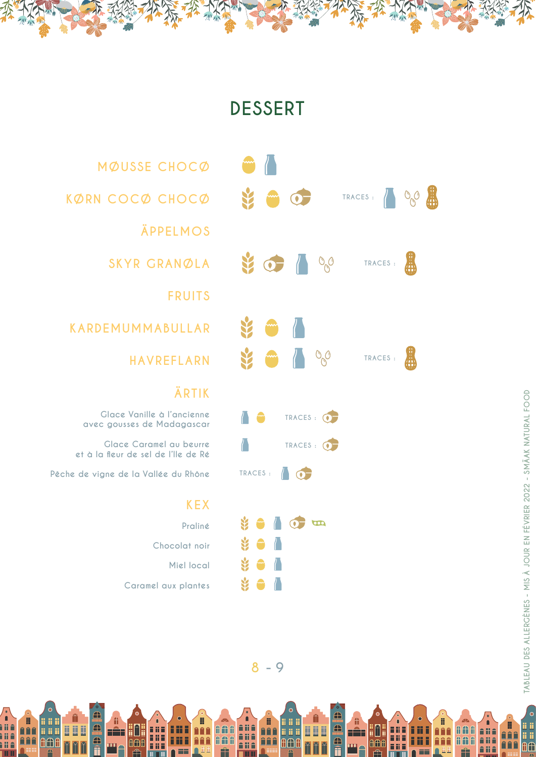#### **DESSERT**



**KØRN COCØ CHOCØ** 

**MØUSSE CHOCØ**

**ÄPPELMOS**

**SKYR GRANØLA**

**FRUITS**

**KARDEMUMMABULLAR**

**HAVREFLARN**

#### **ÄRTIK**

**Glace Vanille à l'ancienne avec gousses de Madagascar** 

 **Glace Caramel au beurre et à la fleur de sel de l'Ile de Ré** 

 **Pêche de vigne de la Vallée du Rhône**

ii ii

ii ii ii

**A** 

 $\overline{\textbf{f}}$ 

a<br>f

<u>U U U</u>

 $\overline{\mathbf{M}}$ **R** 

Ш

 $\sum_{i=1}^{n} \frac{1}{i}$ 

 $\frac{a}{b}$ 

i ii ê<br>Î ii ê

i il A

m

#### **KEX**

**Praliné Chocolat noir Miel local Caramel aux plantes**

īπ

m

青花青

m

HH.

**000** 

FÊT

 $\epsilon$ 

.<br>ii ii

AÆ <u>AAA</u>

H

普鲁鲁 l ii ii

**AAA** 

**AAA** 

âli û

Ali A

î li ê



H

 $\begin{array}{c} \bullet \\ \bullet \\ \bullet \end{array}$ 

**AAA** 

ana<br>Ana

ê ji ê

**AAA** 

**AAA** 

ii ii

ii ji ji

**AAC** 

Ц

<u>ii ii ii</u>

 $\overline{\mathbf{M}}$  $\overline{\mathbf{z}}$  fi

HË F

**FRE** 

H

١ü

m

HH.

**nme** 

 $\overline{\bigoplus}$ 

a<br>A